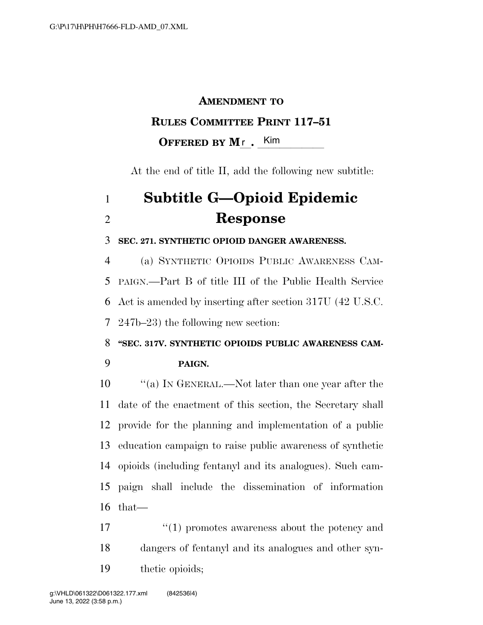### **AMENDMENT TO**

## **RULES COMMITTEE PRINT 117–51**

**OFFERED BY M<sub>L</sub>.** Kim

At the end of title II, add the following new subtitle:

# **Subtitle G—Opioid Epidemic Response**

#### **SEC. 271. SYNTHETIC OPIOID DANGER AWARENESS.**

 (a) SYNTHETIC OPIOIDS PUBLIC AWARENESS CAM- PAIGN.—Part B of title III of the Public Health Service Act is amended by inserting after section 317U (42 U.S.C. 247b–23) the following new section:

**''SEC. 317V. SYNTHETIC OPIOIDS PUBLIC AWARENESS CAM-**

#### **PAIGN.**

 $\langle \text{a} \rangle$  In GENERAL.—Not later than one year after the date of the enactment of this section, the Secretary shall provide for the planning and implementation of a public education campaign to raise public awareness of synthetic opioids (including fentanyl and its analogues). Such cam- paign shall include the dissemination of information that—

17 ''(1) promotes awareness about the potency and dangers of fentanyl and its analogues and other syn-thetic opioids;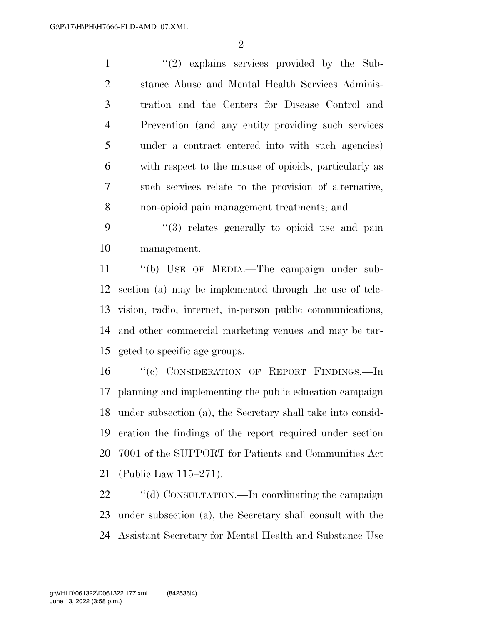$\mathfrak{D}$ 

1 ''(2) explains services provided by the Sub- stance Abuse and Mental Health Services Adminis- tration and the Centers for Disease Control and Prevention (and any entity providing such services under a contract entered into with such agencies) with respect to the misuse of opioids, particularly as such services relate to the provision of alternative, non-opioid pain management treatments; and

 ''(3) relates generally to opioid use and pain management.

 ''(b) USE OF MEDIA.—The campaign under sub- section (a) may be implemented through the use of tele- vision, radio, internet, in-person public communications, and other commercial marketing venues and may be tar-geted to specific age groups.

16 "(c) CONSIDERATION OF REPORT FINDINGS.—In planning and implementing the public education campaign under subsection (a), the Secretary shall take into consid- eration the findings of the report required under section 7001 of the SUPPORT for Patients and Communities Act (Public Law 115–271).

22 "(d) CONSULTATION.—In coordinating the campaign under subsection (a), the Secretary shall consult with the Assistant Secretary for Mental Health and Substance Use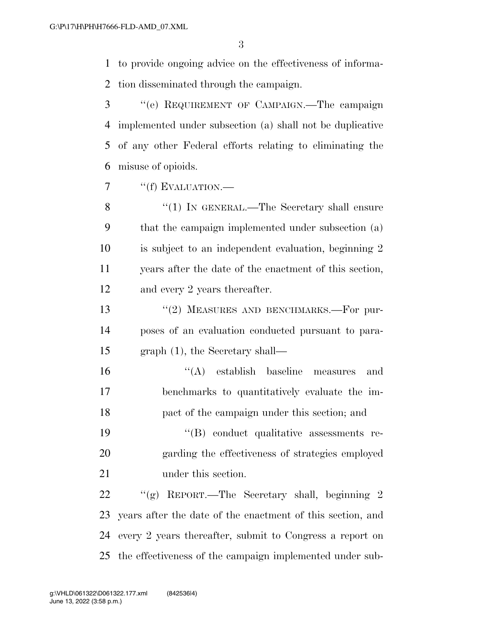to provide ongoing advice on the effectiveness of informa-tion disseminated through the campaign.

 ''(e) REQUIREMENT OF CAMPAIGN.—The campaign implemented under subsection (a) shall not be duplicative of any other Federal efforts relating to eliminating the misuse of opioids.

7 "(f) EVALUATION.—

8 "(1) IN GENERAL.—The Secretary shall ensure that the campaign implemented under subsection (a) is subject to an independent evaluation, beginning 2 years after the date of the enactment of this section, and every 2 years thereafter.

13 "(2) MEASURES AND BENCHMARKS.—For pur- poses of an evaluation conducted pursuant to para-graph (1), the Secretary shall—

 ''(A) establish baseline measures and benchmarks to quantitatively evaluate the im-pact of the campaign under this section; and

19  $((B)$  conduct qualitative assessments re- garding the effectiveness of strategies employed under this section.

 ''(g) REPORT.—The Secretary shall, beginning 2 years after the date of the enactment of this section, and every 2 years thereafter, submit to Congress a report on the effectiveness of the campaign implemented under sub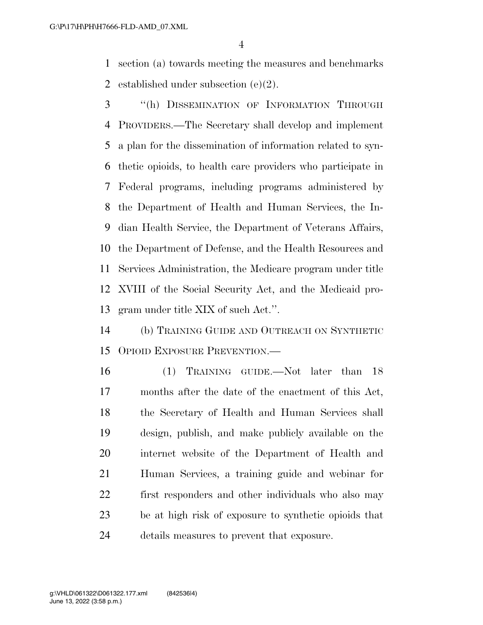section (a) towards meeting the measures and benchmarks established under subsection (e)(2).

 ''(h) DISSEMINATION OF INFORMATION THROUGH PROVIDERS.—The Secretary shall develop and implement a plan for the dissemination of information related to syn- thetic opioids, to health care providers who participate in Federal programs, including programs administered by the Department of Health and Human Services, the In- dian Health Service, the Department of Veterans Affairs, the Department of Defense, and the Health Resources and Services Administration, the Medicare program under title XVIII of the Social Security Act, and the Medicaid pro-gram under title XIX of such Act.''.

 (b) TRAINING GUIDE AND OUTREACH ON SYNTHETIC OPIOID EXPOSURE PREVENTION.—

 (1) TRAINING GUIDE.—Not later than 18 months after the date of the enactment of this Act, the Secretary of Health and Human Services shall design, publish, and make publicly available on the internet website of the Department of Health and Human Services, a training guide and webinar for first responders and other individuals who also may be at high risk of exposure to synthetic opioids that details measures to prevent that exposure.